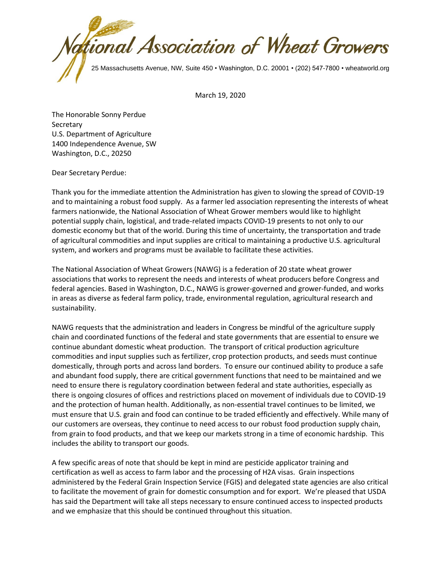

March 19, 2020

The Honorable Sonny Perdue **Secretary** U.S. Department of Agriculture 1400 Independence Avenue, SW Washington, D.C., 20250

Dear Secretary Perdue:

Thank you for the immediate attention the Administration has given to slowing the spread of COVID-19 and to maintaining a robust food supply. As a farmer led association representing the interests of wheat farmers nationwide, the National Association of Wheat Grower members would like to highlight potential supply chain, logistical, and trade-related impacts COVID-19 presents to not only to our domestic economy but that of the world. During this time of uncertainty, the transportation and trade of agricultural commodities and input supplies are critical to maintaining a productive U.S. agricultural system, and workers and programs must be available to facilitate these activities.

The National Association of Wheat Growers (NAWG) is a federation of 20 state wheat grower associations that works to represent the needs and interests of wheat producers before Congress and federal agencies. Based in Washington, D.C., NAWG is grower-governed and grower-funded, and works in areas as diverse as federal farm policy, trade, environmental regulation, agricultural research and sustainability.

NAWG requests that the administration and leaders in Congress be mindful of the agriculture supply chain and coordinated functions of the federal and state governments that are essential to ensure we continue abundant domestic wheat production. The transport of critical production agriculture commodities and input supplies such as fertilizer, crop protection products, and seeds must continue domestically, through ports and across land borders. To ensure our continued ability to produce a safe and abundant food supply, there are critical government functions that need to be maintained and we need to ensure there is regulatory coordination between federal and state authorities, especially as there is ongoing closures of offices and restrictions placed on movement of individuals due to COVID-19 and the protection of human health. Additionally, as non-essential travel continues to be limited, we must ensure that U.S. grain and food can continue to be traded efficiently and effectively. While many of our customers are overseas, they continue to need access to our robust food production supply chain, from grain to food products, and that we keep our markets strong in a time of economic hardship. This includes the ability to transport our goods.

A few specific areas of note that should be kept in mind are pesticide applicator training and certification as well as access to farm labor and the processing of H2A visas. Grain inspections administered by the Federal Grain Inspection Service (FGIS) and delegated state agencies are also critical to facilitate the movement of grain for domestic consumption and for export. We're pleased that USDA has said the Department will take all steps necessary to ensure continued access to inspected products and we emphasize that this should be continued throughout this situation.